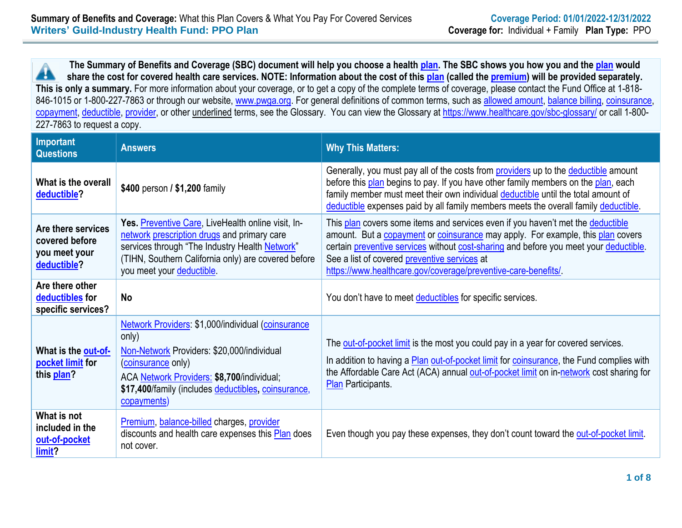**The Summary of Benefits and Coverage (SBC) document will help you choose a health [plan.](https://www.healthcare.gov/sbc-glossary/#plan) The SBC shows you how you and the [plan](https://www.healthcare.gov/sbc-glossary/#plan) would** Â **share the cost for covered health care services. NOTE: Information about the cost of this [plan](https://www.healthcare.gov/sbc-glossary/#plan) (called the [premium\)](https://www.healthcare.gov/sbc-glossary/#premium) will be provided separately. This is only a summary.** For more information about your coverage, or to get a copy of the complete terms of coverage, please contact the Fund Office at 1-818 846-1015 or 1-800-227-7863 or through our website, [www.pwga.org.](http://www.pwga.org/) For general definitions of common terms, such as [allowed amount,](https://www.healthcare.gov/sbc-glossary/#allowed-amount) [balance billing,](https://www.healthcare.gov/sbc-glossary/#balance-billing) [coinsurance,](https://www.healthcare.gov/sbc-glossary/#coinsurance) [copayment,](https://www.healthcare.gov/sbc-glossary/#copayment) [deductible,](https://www.healthcare.gov/sbc-glossary/#deductible) [provider,](https://www.healthcare.gov/sbc-glossary/#provider) or other underlined terms, see the Glossary. You can view the Glossary at<https://www.healthcare.gov/sbc-glossary/> or call 1-800-227-7863 to request a copy.

| <b>Important</b><br><b>Questions</b>                                 | <b>Answers</b>                                                                                                                                                                                                                                      | <b>Why This Matters:</b>                                                                                                                                                                                                                                                                                                                                                     |
|----------------------------------------------------------------------|-----------------------------------------------------------------------------------------------------------------------------------------------------------------------------------------------------------------------------------------------------|------------------------------------------------------------------------------------------------------------------------------------------------------------------------------------------------------------------------------------------------------------------------------------------------------------------------------------------------------------------------------|
| What is the overall<br>deductible?                                   | \$400 person / \$1,200 family                                                                                                                                                                                                                       | Generally, you must pay all of the costs from providers up to the deductible amount<br>before this plan begins to pay. If you have other family members on the plan, each<br>family member must meet their own individual deductible until the total amount of<br>deductible expenses paid by all family members meets the overall family deductible.                        |
| Are there services<br>covered before<br>you meet your<br>deductible? | Yes. Preventive Care, LiveHealth online visit, In-<br>network prescription drugs and primary care<br>services through "The Industry Health Network"<br>(TIHN, Southern California only) are covered before<br>you meet your deductible.             | This plan covers some items and services even if you haven't met the deductible<br>amount. But a copayment or coinsurance may apply. For example, this plan covers<br>certain preventive services without cost-sharing and before you meet your deductible.<br>See a list of covered preventive services at<br>https://www.healthcare.gov/coverage/preventive-care-benefits/ |
| Are there other<br>deductibles for<br>specific services?             | <b>No</b>                                                                                                                                                                                                                                           | You don't have to meet deductibles for specific services.                                                                                                                                                                                                                                                                                                                    |
| What is the out-of-<br>pocket limit for<br>this plan?                | Network Providers: \$1,000/individual (coinsurance<br>only)<br>Non-Network Providers: \$20,000/individual<br>(coinsurance only)<br>ACA Network Providers: \$8,700/individual;<br>\$17,400/family (includes deductibles, coinsurance,<br>copayments) | The out-of-pocket limit is the most you could pay in a year for covered services.<br>In addition to having a <b>Plan out-of-pocket limit</b> for <b>coinsurance</b> , the Fund complies with<br>the Affordable Care Act (ACA) annual out-of-pocket limit on in-network cost sharing for<br><b>Plan</b> Participants.                                                         |
| What is not<br>included in the<br>out-of-pocket<br>limit?            | Premium, balance-billed charges, provider<br>discounts and health care expenses this Plan does<br>not cover.                                                                                                                                        | Even though you pay these expenses, they don't count toward the out-of-pocket limit.                                                                                                                                                                                                                                                                                         |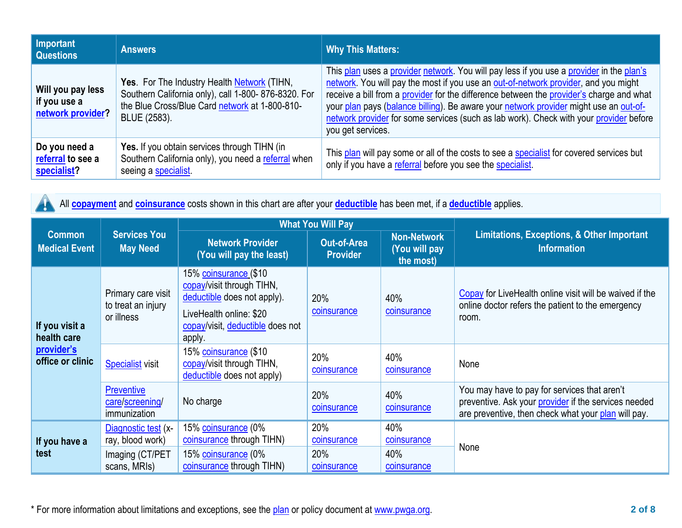| Important<br><b>Questions</b>                          | <b>Answers</b>                                                                                                                                                       | <b>Why This Matters:</b>                                                                                                                                                                                                                                                                                                                                                                                                                                                            |
|--------------------------------------------------------|----------------------------------------------------------------------------------------------------------------------------------------------------------------------|-------------------------------------------------------------------------------------------------------------------------------------------------------------------------------------------------------------------------------------------------------------------------------------------------------------------------------------------------------------------------------------------------------------------------------------------------------------------------------------|
| Will you pay less<br>if you use a<br>network provider? | Yes. For The Industry Health Network (TIHN,<br>Southern California only), call 1-800-876-8320. For<br>the Blue Cross/Blue Card network at 1-800-810-<br>BLUE (2583). | This plan uses a provider network. You will pay less if you use a provider in the plan's<br>network. You will pay the most if you use an out-of-network provider, and you might<br>receive a bill from a provider for the difference between the provider's charge and what<br>your plan pays (balance billing). Be aware your network provider might use an out-of-<br>network provider for some services (such as lab work). Check with your provider before<br>you get services. |
| Do you need a<br>referral to see a<br>specialist?      | Yes. If you obtain services through TIHN (in<br>Southern California only), you need a referral when<br>seeing a specialist.                                          | This plan will pay some or all of the costs to see a specialist for covered services but<br>only if you have a referral before you see the specialist.                                                                                                                                                                                                                                                                                                                              |

All **[copayment](https://www.healthcare.gov/sbc-glossary/#copayment)** and **[coinsurance](https://www.healthcare.gov/sbc-glossary/#coinsurance)** costs shown in this chart are after your **[deductible](https://www.healthcare.gov/sbc-glossary/#deductible)** has been met, if a **[deductible](https://www.healthcare.gov/sbc-glossary/#deductible)** applies.  $\blacktriangle$ 

|                                                         | <b>Services You</b><br><b>May Need</b>                 | <b>What You Will Pay</b>                                                                                                                                          |                                       |                                                  |                                                                                                                                                                    |
|---------------------------------------------------------|--------------------------------------------------------|-------------------------------------------------------------------------------------------------------------------------------------------------------------------|---------------------------------------|--------------------------------------------------|--------------------------------------------------------------------------------------------------------------------------------------------------------------------|
| <b>Common</b><br><b>Medical Event</b>                   |                                                        | <b>Network Provider</b><br>(You will pay the least)                                                                                                               | <b>Out-of-Area</b><br><b>Provider</b> | <b>Non-Network</b><br>(You will pay<br>the most) | Limitations, Exceptions, & Other Important<br><b>Information</b>                                                                                                   |
| If you visit a<br>health care                           | Primary care visit<br>to treat an injury<br>or illness | 15% <u>coinsurance</u> (\$10<br>copay/visit through TIHN,<br>deductible does not apply).<br>LiveHealth online: \$20<br>copay/visit, deductible does not<br>apply. | 20%<br>coinsurance                    | 40%<br>coinsurance                               | Copay for LiveHealth online visit will be waived if the<br>online doctor refers the patient to the emergency<br>room.                                              |
| provider's<br>office or clinic<br>If you have a<br>test | <b>Specialist</b> visit                                | 15% coinsurance (\$10<br>copay/visit through TIHN,<br>deductible does not apply)                                                                                  | 20%<br>coinsurance                    | 40%<br>coinsurance                               | None                                                                                                                                                               |
|                                                         | <b>Preventive</b><br>care/screening/<br>immunization   | No charge                                                                                                                                                         | 20%<br>coinsurance                    | 40%<br>coinsurance                               | You may have to pay for services that aren't<br>preventive. Ask your <i>provider</i> if the services needed<br>are preventive, then check what your plan will pay. |
|                                                         | Diagnostic test (x-<br>ray, blood work)                | 15% coinsurance (0%<br>coinsurance through TIHN)                                                                                                                  | 20%<br>coinsurance                    | 40%<br>coinsurance                               | None                                                                                                                                                               |
|                                                         | Imaging (CT/PET<br>scans, MRIs)                        | 15% coinsurance (0%<br>coinsurance through TIHN)                                                                                                                  | 20%<br>coinsurance                    | 40%<br>coinsurance                               |                                                                                                                                                                    |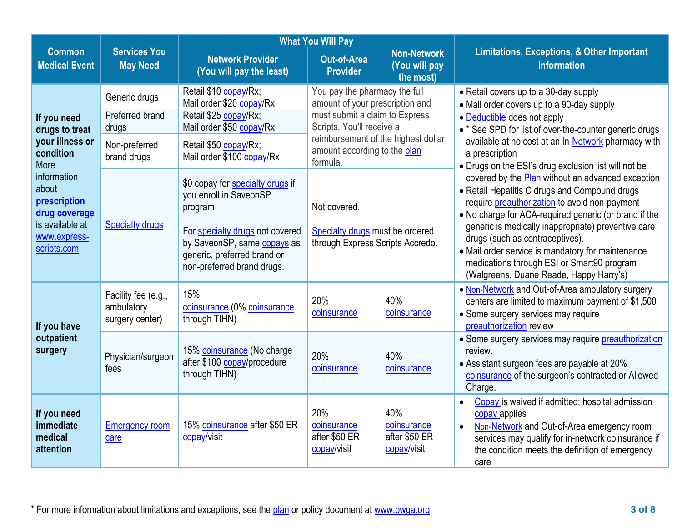|                                                                                                         | <b>What You Will Pay</b>                             |                                                                                                                                                                                                      |                                                                                     |                                                    |                                                                                                                                                                                                                                                                                                                                                                                                           |
|---------------------------------------------------------------------------------------------------------|------------------------------------------------------|------------------------------------------------------------------------------------------------------------------------------------------------------------------------------------------------------|-------------------------------------------------------------------------------------|----------------------------------------------------|-----------------------------------------------------------------------------------------------------------------------------------------------------------------------------------------------------------------------------------------------------------------------------------------------------------------------------------------------------------------------------------------------------------|
| <b>Common</b><br><b>Medical Event</b>                                                                   | <b>Services You</b><br><b>May Need</b>               | <b>Network Provider</b><br>(You will pay the least)                                                                                                                                                  | <b>Out-of-Area</b><br><b>Provider</b>                                               | <b>Non-Network</b><br>(You will pay<br>the most)   | <b>Limitations, Exceptions, &amp; Other Important</b><br><b>Information</b>                                                                                                                                                                                                                                                                                                                               |
|                                                                                                         | Generic drugs                                        | Retail \$10 copay/Rx;<br>Mail order \$20 copay/Rx                                                                                                                                                    | You pay the pharmacy the full<br>amount of your prescription and                    |                                                    | • Retail covers up to a 30-day supply<br>• Mail order covers up to a 90-day supply                                                                                                                                                                                                                                                                                                                        |
| If you need<br>drugs to treat                                                                           | Preferred brand<br>drugs                             | Retail \$25 copay/Rx;<br>Mail order \$50 copay/Rx                                                                                                                                                    | must submit a claim to Express<br>Scripts. You'll receive a                         |                                                    | • Deductible does not apply<br>• * See SPD for list of over-the-counter generic drugs                                                                                                                                                                                                                                                                                                                     |
| your illness or<br>condition<br>More                                                                    | Non-preferred<br>brand drugs                         | Retail \$50 copay/Rx;<br>Mail order \$100 copay/Rx                                                                                                                                                   | reimbursement of the highest dollar<br>amount according to the plan<br>formula.     |                                                    | available at no cost at an In-Network pharmacy with<br>a prescription<br>• Drugs on the ESI's drug exclusion list will not be                                                                                                                                                                                                                                                                             |
| information<br>about<br>prescription<br>drug coverage<br>is available at<br>www.express-<br>scripts.com | <b>Specialty drugs</b>                               | \$0 copay for specialty drugs if<br>you enroll in SaveonSP<br>program<br>For specialty drugs not covered<br>by SaveonSP, same copays as<br>generic, preferred brand or<br>non-preferred brand drugs. | Not covered.<br>Specialty drugs must be ordered<br>through Express Scripts Accredo. |                                                    | covered by the Plan without an advanced exception<br>• Retail Hepatitis C drugs and Compound drugs<br>require preauthorization to avoid non-payment<br>• No charge for ACA-required generic (or brand if the<br>generic is medically inappropriate) preventive care<br>drugs (such as contraceptives).<br>• Mail order service is mandatory for maintenance<br>medications through ESI or Smart90 program |
| If you have<br>outpatient<br>surgery                                                                    | Facility fee (e.g.,<br>ambulatory<br>surgery center) | 15%<br>coinsurance (0% coinsurance<br>through TIHN)                                                                                                                                                  | 20%<br>coinsurance                                                                  | 40%<br>coinsurance                                 | (Walgreens, Duane Reade, Happy Harry's)<br>. Non-Network and Out-of-Area ambulatory surgery<br>centers are limited to maximum payment of \$1,500<br>• Some surgery services may require<br>preauthorization review                                                                                                                                                                                        |
|                                                                                                         | Physician/surgeon<br>fees                            | 15% coinsurance (No charge<br>after \$100 copay/procedure<br>through TIHN)                                                                                                                           | 20%<br>coinsurance                                                                  | 40%<br>coinsurance                                 | • Some surgery services may require preauthorization<br>review.<br>• Assistant surgeon fees are payable at 20%<br>coinsurance of the surgeon's contracted or Allowed<br>Charge.                                                                                                                                                                                                                           |
| If you need<br>immediate<br>medical<br>attention                                                        | <b>Emergency room</b><br>care                        | 15% coinsurance after \$50 ER<br>copay/visit                                                                                                                                                         | 20%<br>coinsurance<br>after \$50 ER<br>copay/visit                                  | 40%<br>coinsurance<br>after \$50 ER<br>copay/visit | Copay is waived if admitted; hospital admission<br>$\bullet$<br>copay applies<br>Non-Network and Out-of-Area emergency room<br>$\bullet$<br>services may qualify for in-network coinsurance if<br>the condition meets the definition of emergency<br>care                                                                                                                                                 |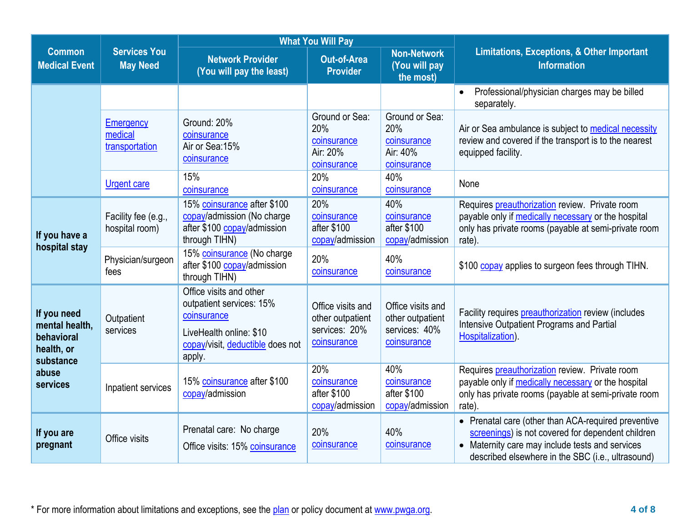|                                                                                             | <b>What You Will Pay</b>                      |                                                                                                                                             |                                                                       |                                                                       |                                                                                                                                                                                                                  |
|---------------------------------------------------------------------------------------------|-----------------------------------------------|---------------------------------------------------------------------------------------------------------------------------------------------|-----------------------------------------------------------------------|-----------------------------------------------------------------------|------------------------------------------------------------------------------------------------------------------------------------------------------------------------------------------------------------------|
| <b>Common</b><br><b>Medical Event</b>                                                       | <b>Services You</b><br><b>May Need</b>        | <b>Network Provider</b><br>(You will pay the least)                                                                                         | <b>Out-of-Area</b><br><b>Provider</b>                                 | <b>Non-Network</b><br>(You will pay<br>the most)                      | <b>Limitations, Exceptions, &amp; Other Important</b><br><b>Information</b>                                                                                                                                      |
|                                                                                             |                                               |                                                                                                                                             |                                                                       |                                                                       | Professional/physician charges may be billed<br>$\bullet$<br>separately.                                                                                                                                         |
|                                                                                             | <b>Emergency</b><br>medical<br>transportation | Ground: 20%<br>coinsurance<br>Air or Sea: 15%<br>coinsurance                                                                                | Ground or Sea:<br>20%<br>coinsurance<br>Air: 20%<br>coinsurance       | Ground or Sea:<br>20%<br>coinsurance<br>Air: 40%<br>coinsurance       | Air or Sea ambulance is subject to medical necessity<br>review and covered if the transport is to the nearest<br>equipped facility.                                                                              |
|                                                                                             | <b>Urgent care</b>                            | 15%<br>coinsurance                                                                                                                          | 20%<br>coinsurance                                                    | 40%<br>coinsurance                                                    | None                                                                                                                                                                                                             |
| If you have a<br>hospital stay                                                              | Facility fee (e.g.,<br>hospital room)         | 15% coinsurance after \$100<br>copay/admission (No charge<br>after \$100 copay/admission<br>through TIHN)                                   | 20%<br>coinsurance<br>after \$100<br>copay/admission                  | 40%<br>coinsurance<br>after \$100<br>copay/admission                  | Requires preauthorization review. Private room<br>payable only if medically necessary or the hospital<br>only has private rooms (payable at semi-private room<br>rate).                                          |
|                                                                                             | Physician/surgeon<br>fees                     | 15% coinsurance (No charge<br>after \$100 copay/admission<br>through TIHN)                                                                  | 20%<br>coinsurance                                                    | 40%<br>coinsurance                                                    | \$100 copay applies to surgeon fees through TIHN.                                                                                                                                                                |
| If you need<br>mental health,<br>behavioral<br>health, or<br>substance<br>abuse<br>services | Outpatient<br>services                        | Office visits and other<br>outpatient services: 15%<br>coinsurance<br>LiveHealth online: \$10<br>copay/visit, deductible does not<br>apply. | Office visits and<br>other outpatient<br>services: 20%<br>coinsurance | Office visits and<br>other outpatient<br>services: 40%<br>coinsurance | Facility requires preauthorization review (includes<br><b>Intensive Outpatient Programs and Partial</b><br>Hospitalization).                                                                                     |
|                                                                                             | Inpatient services                            | 15% coinsurance after \$100<br>copay/admission                                                                                              | 20%<br>coinsurance<br>after \$100<br>copay/admission                  | 40%<br>coinsurance<br>after \$100<br>copay/admission                  | Requires preauthorization review. Private room<br>payable only if medically necessary or the hospital<br>only has private rooms (payable at semi-private room<br>rate).                                          |
| If you are<br>pregnant                                                                      | Office visits                                 | Prenatal care: No charge<br>Office visits: 15% coinsurance                                                                                  | 20%<br>coinsurance                                                    | 40%<br>coinsurance                                                    | • Prenatal care (other than ACA-required preventive<br>screenings) is not covered for dependent children<br>• Maternity care may include tests and services<br>described elsewhere in the SBC (i.e., ultrasound) |

\* For more information about limitations and exceptions, see the [plan](https://www.healthcare.gov/sbc-glossary/#plan) or policy document at [www.pwga.org.](http://www.pwga.org/) **4 of 8**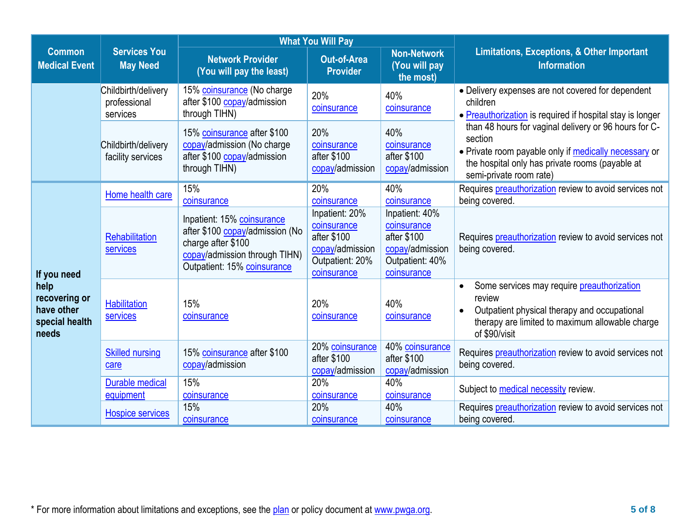|                                                                | <b>What You Will Pay</b>                        |                                                                                                                                                     |                                                                                                   |                                                                                                   |                                                                                                                                                                                                         |
|----------------------------------------------------------------|-------------------------------------------------|-----------------------------------------------------------------------------------------------------------------------------------------------------|---------------------------------------------------------------------------------------------------|---------------------------------------------------------------------------------------------------|---------------------------------------------------------------------------------------------------------------------------------------------------------------------------------------------------------|
| <b>Common</b><br><b>Medical Event</b>                          | <b>Services You</b><br><b>May Need</b>          | <b>Network Provider</b><br>(You will pay the least)                                                                                                 | <b>Out-of-Area</b><br><b>Provider</b>                                                             | <b>Non-Network</b><br>(You will pay<br>the most)                                                  | <b>Limitations, Exceptions, &amp; Other Important</b><br><b>Information</b>                                                                                                                             |
|                                                                | Childbirth/delivery<br>professional<br>services | 15% coinsurance (No charge<br>after \$100 copay/admission<br>through TIHN)                                                                          | 20%<br>coinsurance                                                                                | 40%<br>coinsurance                                                                                | • Delivery expenses are not covered for dependent<br>children<br>• Preauthorization is required if hospital stay is longer                                                                              |
|                                                                | Childbirth/delivery<br>facility services        | 15% coinsurance after \$100<br>copay/admission (No charge<br>after \$100 copay/admission<br>through TIHN)                                           | 20%<br>coinsurance<br>after \$100<br>copay/admission                                              | 40%<br>coinsurance<br>after \$100<br>copay/admission                                              | than 48 hours for vaginal delivery or 96 hours for C-<br>section<br>• Private room payable only if medically necessary or<br>the hospital only has private rooms (payable at<br>semi-private room rate) |
|                                                                | Home health care                                | 15%<br>coinsurance                                                                                                                                  | 20%<br>coinsurance                                                                                | 40%<br>coinsurance                                                                                | Requires preauthorization review to avoid services not<br>being covered.                                                                                                                                |
| If you need                                                    | Rehabilitation<br>services                      | Inpatient: 15% coinsurance<br>after \$100 copay/admission (No<br>charge after \$100<br>copay/admission through TIHN)<br>Outpatient: 15% coinsurance | Inpatient: 20%<br>coinsurance<br>after \$100<br>copay/admission<br>Outpatient: 20%<br>coinsurance | Inpatient: 40%<br>coinsurance<br>after \$100<br>copay/admission<br>Outpatient: 40%<br>coinsurance | Requires preauthorization review to avoid services not<br>being covered.                                                                                                                                |
| help<br>recovering or<br>have other<br>special health<br>needs | <b>Habilitation</b><br><b>services</b>          | 15%<br>coinsurance                                                                                                                                  | 20%<br>coinsurance                                                                                | 40%<br>coinsurance                                                                                | Some services may require preauthorization<br>review<br>Outpatient physical therapy and occupational<br>$\bullet$<br>therapy are limited to maximum allowable charge<br>of \$90/visit                   |
|                                                                | <b>Skilled nursing</b><br>care                  | 15% coinsurance after \$100<br>copay/admission                                                                                                      | 20% coinsurance<br>after \$100<br>copay/admission                                                 | 40% coinsurance<br>after \$100<br>copay/admission                                                 | Requires preauthorization review to avoid services not<br>being covered.                                                                                                                                |
|                                                                | <b>Durable medical</b><br>equipment             | 15%<br>coinsurance                                                                                                                                  | 20%<br>coinsurance                                                                                | 40%<br>coinsurance                                                                                | Subject to medical necessity review.                                                                                                                                                                    |
|                                                                | <b>Hospice services</b>                         | 15%<br>coinsurance                                                                                                                                  | 20%<br>coinsurance                                                                                | 40%<br>coinsurance                                                                                | Requires preauthorization review to avoid services not<br>being covered.                                                                                                                                |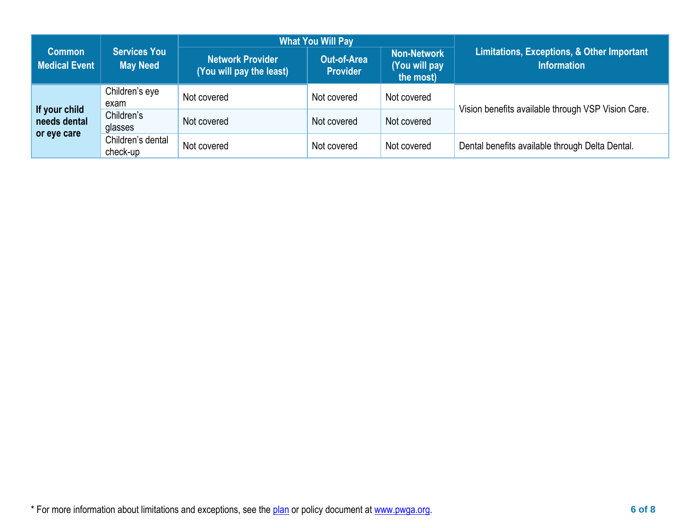|                                              |                                        |                                                     | <b>What You Will Pay</b>              |                                                  |                                                                             |
|----------------------------------------------|----------------------------------------|-----------------------------------------------------|---------------------------------------|--------------------------------------------------|-----------------------------------------------------------------------------|
| <b>Common</b><br><b>Medical Event</b>        | <b>Services You</b><br><b>May Need</b> | <b>Network Provider</b><br>(You will pay the least) | <b>Out-of-Area</b><br><b>Provider</b> | <b>Non-Network</b><br>(You will pay<br>the most) | <b>Limitations, Exceptions, &amp; Other Important</b><br><b>Information</b> |
| If your child<br>needs dental<br>or eye care | Children's eye<br>exam                 | Not covered                                         | Not covered                           | Not covered                                      | Vision benefits available through VSP Vision Care.                          |
|                                              | Children's<br>glasses                  | Not covered                                         | Not covered                           | Not covered                                      |                                                                             |
|                                              | Children's dental<br>check-up          | Not covered                                         | Not covered                           | Not covered                                      | Dental benefits available through Delta Dental.                             |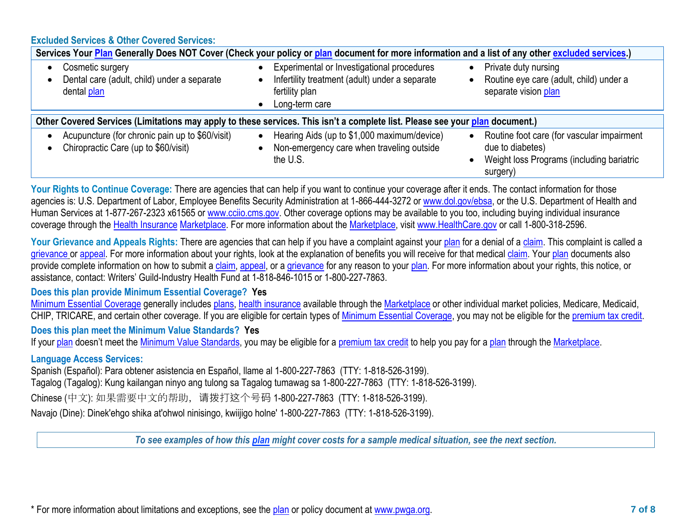### **Excluded Services & Other Covered Services:**

| Services Your Plan Generally Does NOT Cover (Check your policy or plan document for more information and a list of any other excluded services.) |                                                                                                                                  |                                                                                                                         |  |  |  |  |
|--------------------------------------------------------------------------------------------------------------------------------------------------|----------------------------------------------------------------------------------------------------------------------------------|-------------------------------------------------------------------------------------------------------------------------|--|--|--|--|
| Cosmetic surgery<br>Dental care (adult, child) under a separate<br>dental plan                                                                   | Experimental or Investigational procedures<br>Infertility treatment (adult) under a separate<br>fertility plan<br>Long-term care | Private duty nursing<br>Routine eye care (adult, child) under a<br>separate vision plan                                 |  |  |  |  |
|                                                                                                                                                  | Other Covered Services (Limitations may apply to these services. This isn't a complete list. Please see your plan document.)     |                                                                                                                         |  |  |  |  |
| Acupuncture (for chronic pain up to \$60/visit)<br>Chiropractic Care (up to \$60/visit)                                                          | Hearing Aids (up to \$1,000 maximum/device)<br>Non-emergency care when traveling outside<br>the U.S.                             | Routine foot care (for vascular impairment<br>due to diabetes)<br>Weight loss Programs (including bariatric<br>surgery) |  |  |  |  |

Your Rights to Continue Coverage: There are agencies that can help if you want to continue your coverage after it ends. The contact information for those agencies is: U.S. Department of Labor, Employee Benefits Security Administration at 1-866-444-3272 or [www.dol.gov/ebsa,](http://www.dol.gov/ebsa) or the U.S. Department of Health and Human Services at 1-877-267-2323 x61565 or [www.cciio.cms.gov.](http://www.cciio.cms.gov/) Other coverage options may be available to you too, including buying individual insurance coverage through the [Health Insurance](https://www.healthcare.gov/sbc-glossary/#health-insurance) [Marketplace.](https://www.healthcare.gov/sbc-glossary/#marketplace) For more information about the [Marketplace,](https://www.healthcare.gov/sbc-glossary/#marketplace) visit [www.HealthCare.gov](http://www.healthcare.gov/) or call 1-800-318-2596.

Your Grievance and Appeals Rights: There are agencies that can help if you have a complaint against your [plan](https://www.healthcare.gov/sbc-glossary/#plan) for a denial of a [claim.](https://www.healthcare.gov/sbc-glossary/#claim) This complaint is called a [grievance](https://www.healthcare.gov/sbc-glossary/#grievance) or [appeal.](https://www.healthcare.gov/sbc-glossary/#appeal) For more information about your rights, look at the explanation of benefits you will receive for that medical [claim.](https://www.healthcare.gov/sbc-glossary/#claim) Your [plan](https://www.healthcare.gov/sbc-glossary/#plan) documents also provide complete information on how to submit a [claim,](https://www.healthcare.gov/sbc-glossary/#claim) [appeal,](https://www.healthcare.gov/sbc-glossary/#appeal) or a [grievance](https://www.healthcare.gov/sbc-glossary/#grievance) for any reason to your [plan.](https://www.healthcare.gov/sbc-glossary/#plan) For more information about your rights, this notice, or assistance, contact: Writers' Guild-Industry Health Fund at 1-818-846-1015 or 1-800-227-7863.

# **Does this plan provide Minimum Essential Coverage? Yes**

[Minimum Essential Coverage](https://www.healthcare.gov/sbc-glossary/#minimum-essential-coverage) generally includes [plans,](https://www.healthcare.gov/sbc-glossary/#plan) [health insurance](https://www.healthcare.gov/sbc-glossary/#health-insurance) available through the [Marketplace](https://www.healthcare.gov/sbc-glossary/#marketplace) or other individual market policies, Medicare, Medicaid, CHIP, TRICARE, and certain other coverage. If you are eligible for certain types of [Minimum Essential Coverage,](https://www.healthcare.gov/sbc-glossary/#minimum-essential-coverage) you may not be eligible for the [premium tax credit.](https://www.healthcare.gov/sbc-glossary/#premium-tax-credits) **Does this plan meet the Minimum Value Standards? Yes**

If your [plan](https://www.healthcare.gov/sbc-glossary/#plan) doesn't meet the [Minimum Value Standards,](https://www.healthcare.gov/sbc-glossary/#minimum-value-standard) you may be eligible for a [premium tax credit](https://www.healthcare.gov/sbc-glossary/#premium-tax-credits) to help you pay for a [plan](https://www.healthcare.gov/sbc-glossary/#plan) through the [Marketplace.](https://www.healthcare.gov/sbc-glossary/#marketplace)

### **Language Access Services:**

Spanish (Español): Para obtener asistencia en Español, llame al 1-800-227-7863 (TTY: 1-818-526-3199).

Tagalog (Tagalog): Kung kailangan ninyo ang tulong sa Tagalog tumawag sa 1-800-227-7863 (TTY: 1-818-526-3199).

Chinese (中文): 如果需要中文的帮助, 请拨打这个号码 1-800-227-7863 (TTY: 1-818-526-3199).

Navajo (Dine): Dinek'ehgo shika at'ohwol ninisingo, kwiijigo holne' 1-800-227-7863 (TTY: 1-818-526-3199).

*To see examples of how this plan might cover costs for a sample medical situation, see the next section.*